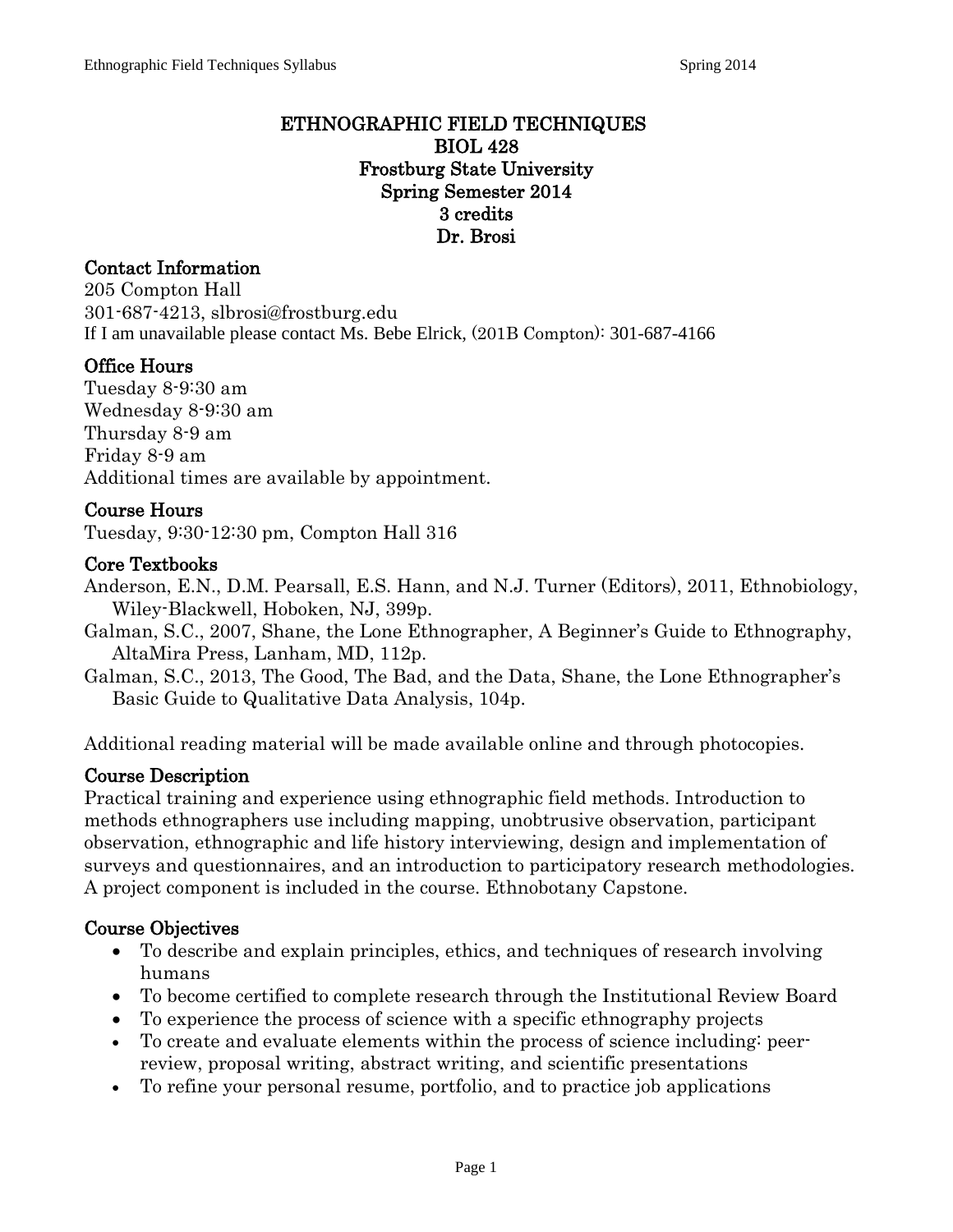#### ETHNOGRAPHIC FIELD TECHNIQUES BIOL 428 Frostburg State University Spring Semester 2014 3 credits Dr. Brosi

# Contact Information

205 Compton Hall 301-687-4213, slbrosi@frostburg.edu If I am unavailable please contact Ms. Bebe Elrick, (201B Compton): 301-687-4166

## Office Hours

Tuesday 8-9:30 am Wednesday 8-9:30 am Thursday 8-9 am Friday 8-9 am Additional times are available by appointment.

## Course Hours

Tuesday, 9:30-12:30 pm, Compton Hall 316

#### Core Textbooks

Anderson, E.N., D.M. Pearsall, E.S. Hann, and N.J. Turner (Editors), 2011, Ethnobiology, Wiley-Blackwell, Hoboken, NJ, 399p.

- Galman, S.C., 2007, Shane, the Lone Ethnographer, A Beginner's Guide to Ethnography, AltaMira Press, Lanham, MD, 112p.
- Galman, S.C., 2013, The Good, The Bad, and the Data, Shane, the Lone Ethnographer's Basic Guide to Qualitative Data Analysis, 104p.

Additional reading material will be made available online and through photocopies.

## Course Description

Practical training and experience using ethnographic field methods. Introduction to methods ethnographers use including mapping, unobtrusive observation, participant observation, ethnographic and life history interviewing, design and implementation of surveys and questionnaires, and an introduction to participatory research methodologies. A project component is included in the course. Ethnobotany Capstone.

## Course Objectives

- To describe and explain principles, ethics, and techniques of research involving humans
- To become certified to complete research through the Institutional Review Board
- To experience the process of science with a specific ethnography projects
- To create and evaluate elements within the process of science including: peerreview, proposal writing, abstract writing, and scientific presentations
- To refine your personal resume, portfolio, and to practice job applications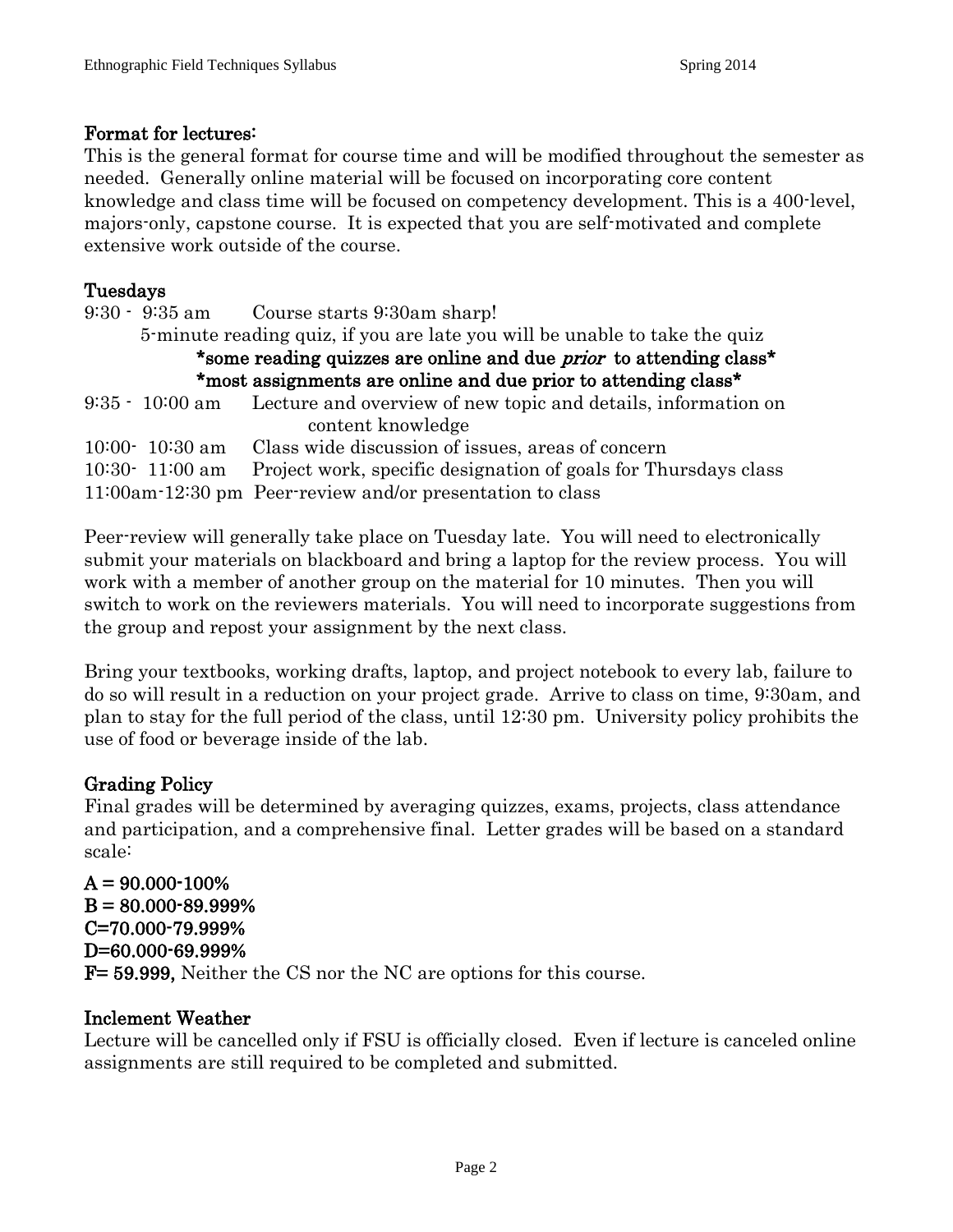## Format for lectures:

This is the general format for course time and will be modified throughout the semester as needed. Generally online material will be focused on incorporating core content knowledge and class time will be focused on competency development. This is a 400-level, majors-only, capstone course. It is expected that you are self-motivated and complete extensive work outside of the course.

## Tuesdays

|                                                                           | $9:30 - 9:35$ am Course starts $9:30$ am sharp!                               |  |  |  |  |  |
|---------------------------------------------------------------------------|-------------------------------------------------------------------------------|--|--|--|--|--|
|                                                                           | 5 minute reading quiz, if you are late you will be unable to take the quiz    |  |  |  |  |  |
| *some reading quizzes are online and due <i>prior</i> to attending class* |                                                                               |  |  |  |  |  |
| *most assignments are online and due prior to attending class*            |                                                                               |  |  |  |  |  |
|                                                                           | 9:35 · 10:00 am Lecture and overview of new topic and details, information on |  |  |  |  |  |
|                                                                           | content knowledge                                                             |  |  |  |  |  |
| $10:00 - 10:30$ am                                                        | Class wide discussion of issues, areas of concern                             |  |  |  |  |  |
| $10:30 - 11:00$ am                                                        | Project work, specific designation of goals for Thursdays class               |  |  |  |  |  |
|                                                                           | 11:00am-12:30 pm Peer-review and/or presentation to class                     |  |  |  |  |  |

Peer-review will generally take place on Tuesday late. You will need to electronically submit your materials on blackboard and bring a laptop for the review process. You will work with a member of another group on the material for 10 minutes. Then you will switch to work on the reviewers materials. You will need to incorporate suggestions from the group and repost your assignment by the next class.

Bring your textbooks, working drafts, laptop, and project notebook to every lab, failure to do so will result in a reduction on your project grade. Arrive to class on time, 9:30am, and plan to stay for the full period of the class, until 12:30 pm. University policy prohibits the use of food or beverage inside of the lab.

## Grading Policy

Final grades will be determined by averaging quizzes, exams, projects, class attendance and participation, and a comprehensive final. Letter grades will be based on a standard scale:

 $A = 90.000 - 100\%$  $B = 80.000 - 89.999\%$ C=70.000-79.999% D=60.000-69.999% F= 59.999, Neither the CS nor the NC are options for this course.

## Inclement Weather

Lecture will be cancelled only if FSU is officially closed. Even if lecture is canceled online assignments are still required to be completed and submitted.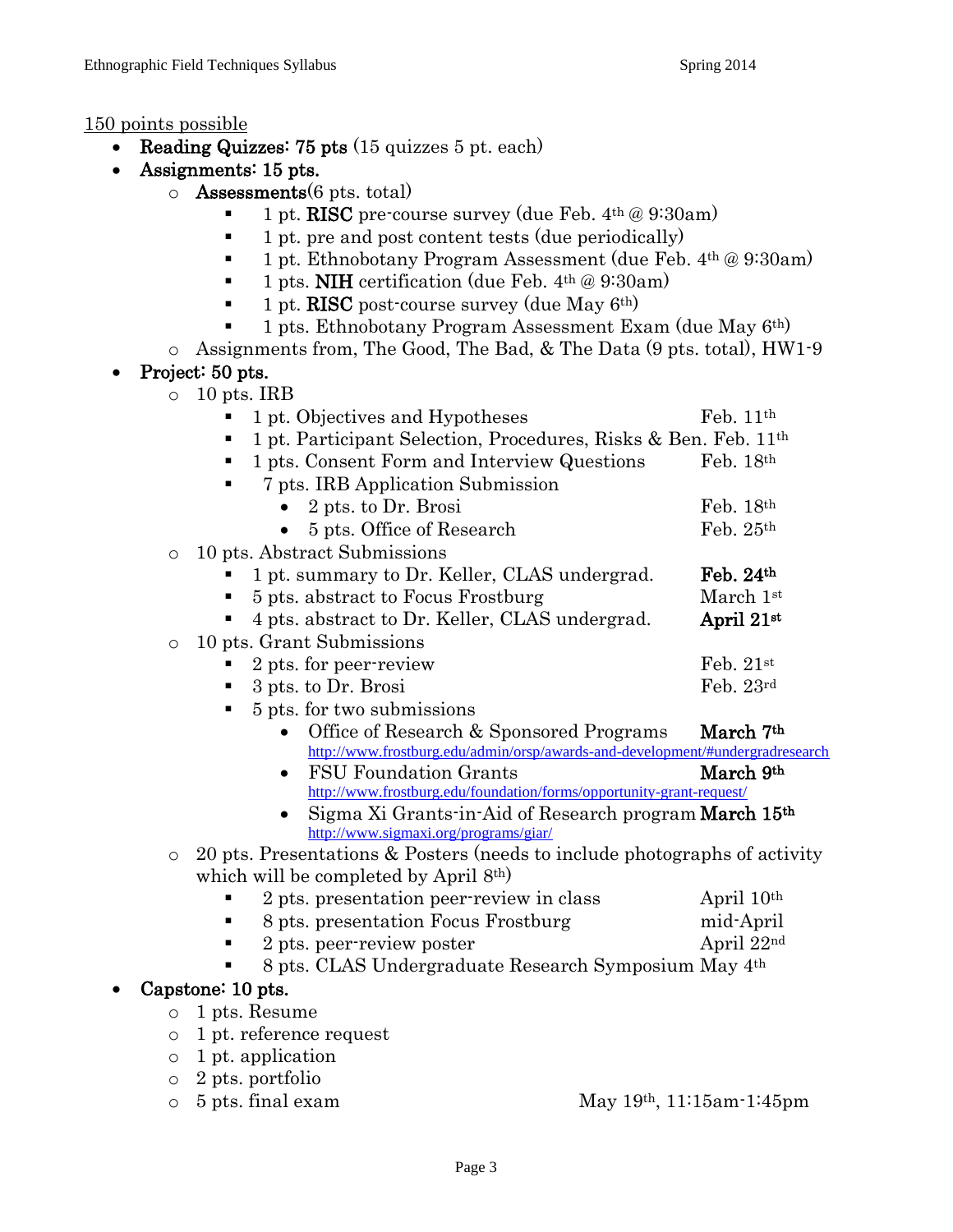#### 150 points possible

- Reading Quizzes: 75 pts (15 quizzes 5 pt. each)
- Assignments: 15 pts.
	- $\circ$  **Assessments**(6 pts. total)
		- 1 pt. RISC pre-course survey (due Feb. 4th @ 9:30am)
		- $\blacksquare$  1 pt. pre and post content tests (due periodically)
		- $\blacksquare$  1 pt. Ethnobotany Program Assessment (due Feb. 4<sup>th</sup> @ 9:30am)
		- $\blacksquare$  1 pts. NIH certification (due Feb. 4<sup>th</sup> @ 9:30am)
		- $\blacksquare$  1 pt. RISC post-course survey (due May 6<sup>th</sup>)
		- $\blacksquare$  1 pts. Ethnobotany Program Assessment Exam (due May 6<sup>th)</sup>
	- o Assignments from, The Good, The Bad, & The Data (9 pts. total), HW1-9
- Project: 50 pts.

| $\circ$ | 10 pts. IRB                                                                                    |                        |  |  |  |
|---------|------------------------------------------------------------------------------------------------|------------------------|--|--|--|
|         | 1 pt. Objectives and Hypotheses                                                                | Feb. $11th$            |  |  |  |
|         | 1 pt. Participant Selection, Procedures, Risks & Ben. Feb. 11 <sup>th</sup>                    |                        |  |  |  |
|         | 1 pts. Consent Form and Interview Questions                                                    | Feb. $18th$            |  |  |  |
|         | 7 pts. IRB Application Submission                                                              |                        |  |  |  |
|         | 2 pts. to Dr. Brosi                                                                            | Feb. $18th$            |  |  |  |
|         | 5 pts. Office of Research                                                                      | Feb. 25th              |  |  |  |
| O       | 10 pts. Abstract Submissions                                                                   |                        |  |  |  |
|         | 1 pt. summary to Dr. Keller, CLAS undergrad.                                                   | Feb. 24th              |  |  |  |
|         | 5 pts. abstract to Focus Frostburg                                                             | March 1st              |  |  |  |
|         | 4 pts. abstract to Dr. Keller, CLAS undergrad.                                                 | April 21st             |  |  |  |
| $\circ$ | 10 pts. Grant Submissions                                                                      |                        |  |  |  |
|         | 2 pts. for peer-review                                                                         | Feb. $21st$            |  |  |  |
|         | 3 pts. to Dr. Brosi                                                                            | Feb. 23rd              |  |  |  |
|         | 5 pts. for two submissions                                                                     |                        |  |  |  |
|         |                                                                                                |                        |  |  |  |
|         | Office of Research & Sponsored Programs                                                        | March 7th              |  |  |  |
|         | http://www.frostburg.edu/admin/orsp/awards-and-development/#undergradresearch                  |                        |  |  |  |
|         | <b>FSU Foundation Grants</b><br>$\bullet$                                                      | March 9th              |  |  |  |
|         | http://www.frostburg.edu/foundation/forms/opportunity-grant-request/                           |                        |  |  |  |
|         | Sigma Xi Grants-in-Aid of Research program March 15th<br>http://www.sigmaxi.org/programs/giar/ |                        |  |  |  |
| $\circ$ | 20 pts. Presentations & Posters (needs to include photographs of activity                      |                        |  |  |  |
|         | which will be completed by April 8th)                                                          |                        |  |  |  |
|         | 2 pts. presentation peer-review in class                                                       | April 10 <sup>th</sup> |  |  |  |
|         | 8 pts. presentation Focus Frostburg                                                            | mid-April              |  |  |  |
|         | 2 pts. peer-review poster                                                                      | April 22nd             |  |  |  |
|         | 8 pts. CLAS Undergraduate Research Symposium May 4th                                           |                        |  |  |  |
|         | Capstone: 10 pts.                                                                              |                        |  |  |  |
| $\circ$ | 1 pts. Resume                                                                                  |                        |  |  |  |

- o 1 pt. application
- o 2 pts. portfolio
- o 5 pts. final exam May 19th, 11:15am-1:45pm
-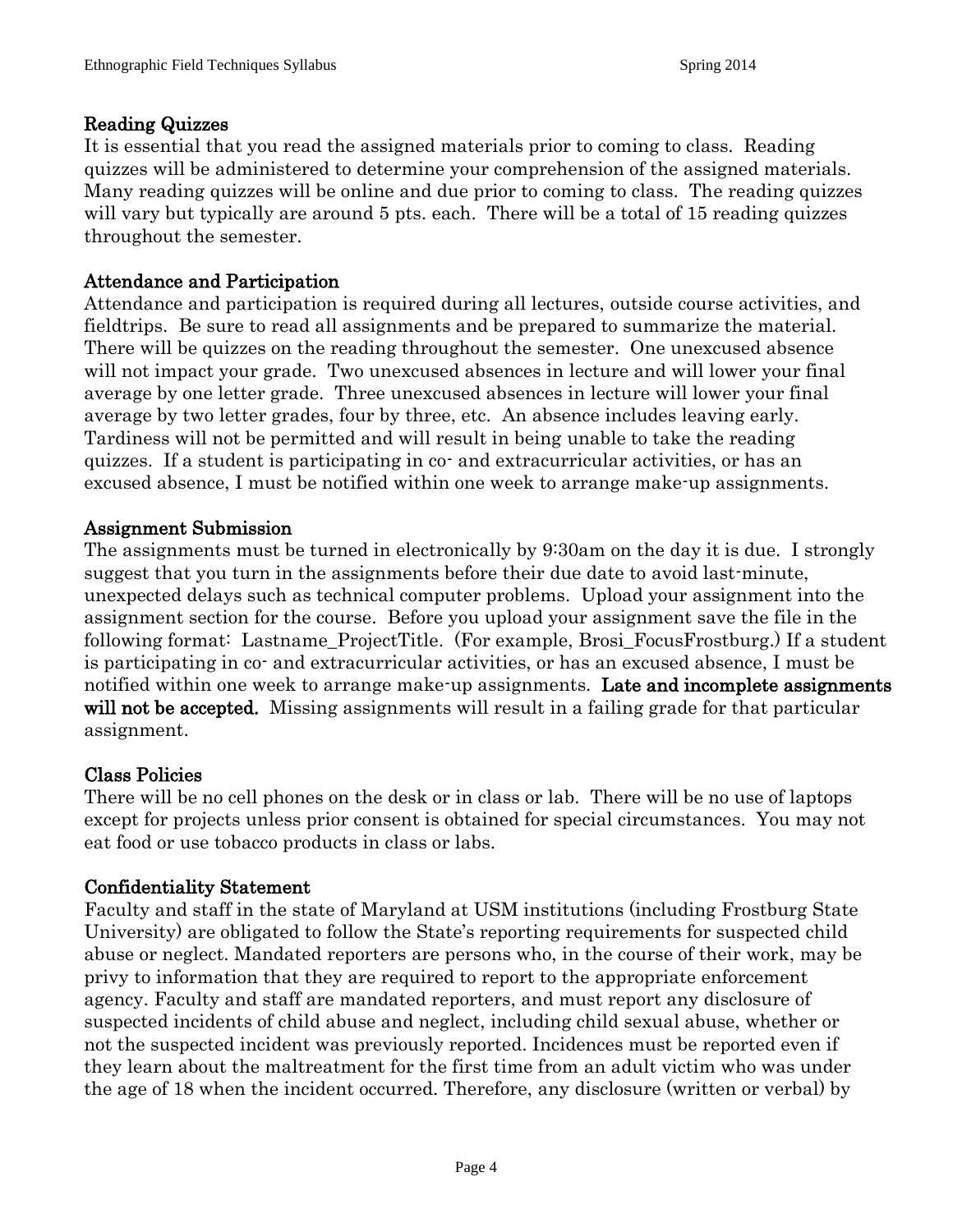## Reading Quizzes

It is essential that you read the assigned materials prior to coming to class. Reading quizzes will be administered to determine your comprehension of the assigned materials. Many reading quizzes will be online and due prior to coming to class. The reading quizzes will vary but typically are around 5 pts. each. There will be a total of 15 reading quizzes throughout the semester.

# Attendance and Participation

Attendance and participation is required during all lectures, outside course activities, and fieldtrips. Be sure to read all assignments and be prepared to summarize the material. There will be quizzes on the reading throughout the semester. One unexcused absence will not impact your grade. Two unexcused absences in lecture and will lower your final average by one letter grade. Three unexcused absences in lecture will lower your final average by two letter grades, four by three, etc. An absence includes leaving early. Tardiness will not be permitted and will result in being unable to take the reading quizzes. If a student is participating in co- and extracurricular activities, or has an excused absence, I must be notified within one week to arrange make-up assignments.

# Assignment Submission

The assignments must be turned in electronically by 9:30am on the day it is due. I strongly suggest that you turn in the assignments before their due date to avoid last-minute, unexpected delays such as technical computer problems. Upload your assignment into the assignment section for the course. Before you upload your assignment save the file in the following format: Lastname\_ProjectTitle. (For example, Brosi\_FocusFrostburg.) If a student is participating in co- and extracurricular activities, or has an excused absence, I must be notified within one week to arrange make-up assignments. Late and incomplete assignments will not be accepted. Missing assignments will result in a failing grade for that particular assignment.

## Class Policies

There will be no cell phones on the desk or in class or lab. There will be no use of laptops except for projects unless prior consent is obtained for special circumstances. You may not eat food or use tobacco products in class or labs.

## Confidentiality Statement

Faculty and staff in the state of Maryland at USM institutions (including Frostburg State University) are obligated to follow the State's reporting requirements for suspected child abuse or neglect. Mandated reporters are persons who, in the course of their work, may be privy to information that they are required to report to the appropriate enforcement agency. Faculty and staff are mandated reporters, and must report any disclosure of suspected incidents of child abuse and neglect, including child sexual abuse, whether or not the suspected incident was previously reported. Incidences must be reported even if they learn about the maltreatment for the first time from an adult victim who was under the age of 18 when the incident occurred. Therefore, any disclosure (written or verbal) by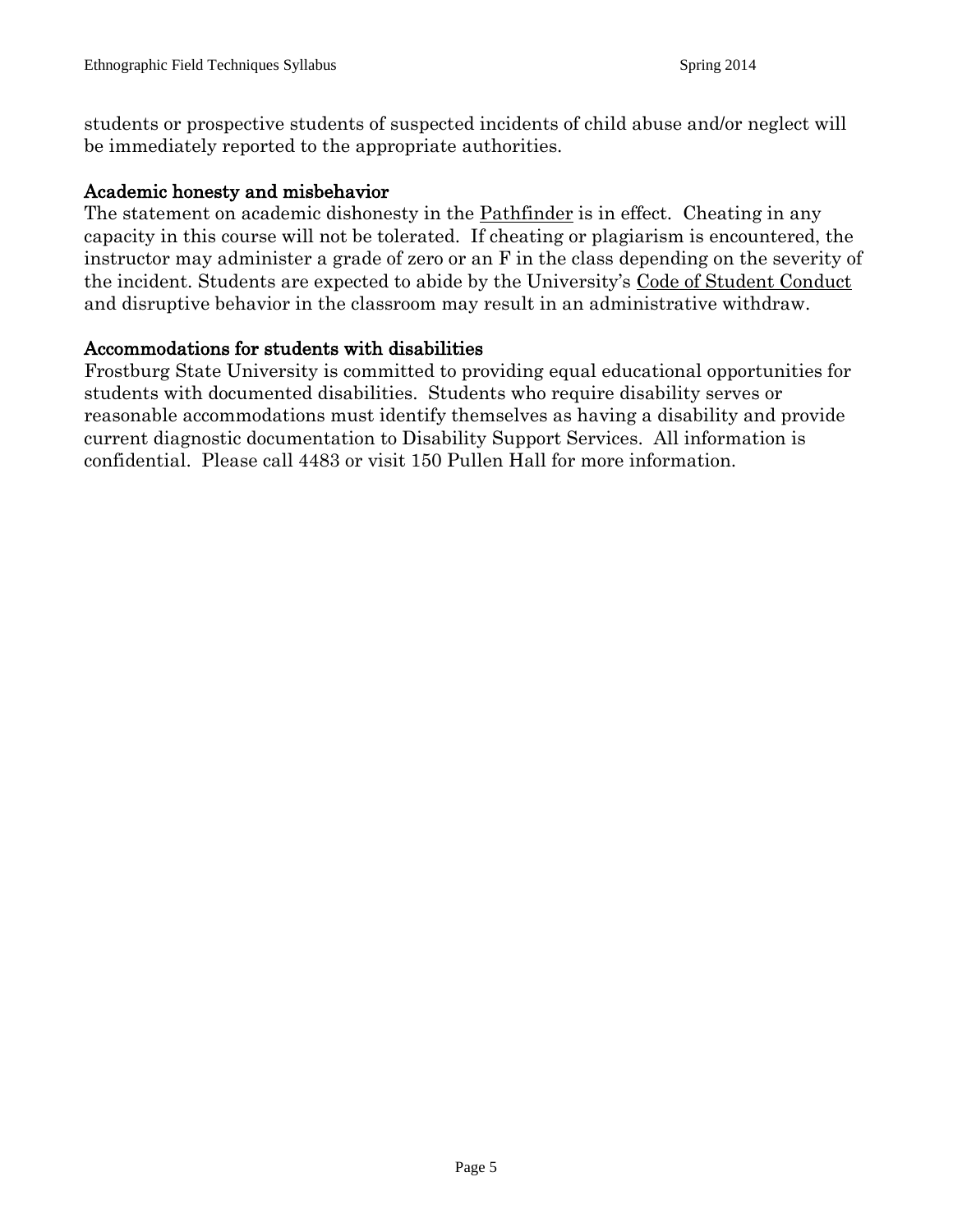students or prospective students of suspected incidents of child abuse and/or neglect will be immediately reported to the appropriate authorities.

## Academic honesty and misbehavior

The statement on academic dishonesty in the Pathfinder is in effect. Cheating in any capacity in this course will not be tolerated. If cheating or plagiarism is encountered, the instructor may administer a grade of zero or an F in the class depending on the severity of the incident. Students are expected to abide by the University's Code of Student Conduct and disruptive behavior in the classroom may result in an administrative withdraw.

#### Accommodations for students with disabilities

Frostburg State University is committed to providing equal educational opportunities for students with documented disabilities. Students who require disability serves or reasonable accommodations must identify themselves as having a disability and provide current diagnostic documentation to Disability Support Services. All information is confidential. Please call 4483 or visit 150 Pullen Hall for more information.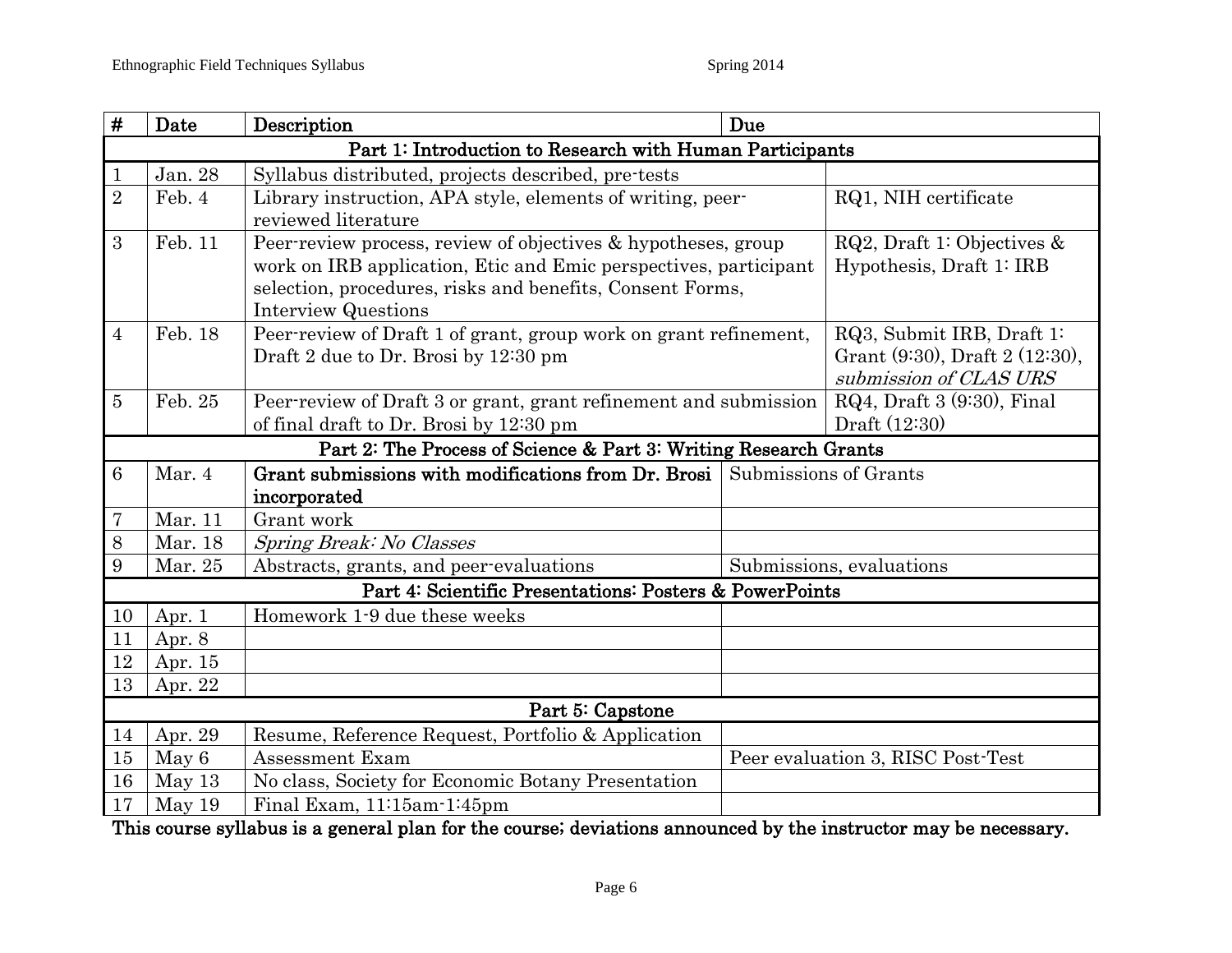| #                                                        | Date    | Description                                                      |                          | Due                                                         |  |  |  |
|----------------------------------------------------------|---------|------------------------------------------------------------------|--------------------------|-------------------------------------------------------------|--|--|--|
| Part 1: Introduction to Research with Human Participants |         |                                                                  |                          |                                                             |  |  |  |
| $\mathbf{1}$                                             | Jan. 28 | Syllabus distributed, projects described, pre-tests              |                          |                                                             |  |  |  |
| $\overline{2}$                                           | Feb. 4  | Library instruction, APA style, elements of writing, peer-       |                          | RQ1, NIH certificate                                        |  |  |  |
|                                                          |         | reviewed literature                                              |                          |                                                             |  |  |  |
| 3                                                        | Feb. 11 | Peer-review process, review of objectives & hypotheses, group    |                          | RQ2, Draft 1: Objectives $\&$                               |  |  |  |
|                                                          |         | work on IRB application, Etic and Emic perspectives, participant | Hypothesis, Draft 1: IRB |                                                             |  |  |  |
|                                                          |         | selection, procedures, risks and benefits, Consent Forms,        |                          |                                                             |  |  |  |
|                                                          |         | <b>Interview Questions</b>                                       |                          |                                                             |  |  |  |
| $\overline{4}$                                           | Feb. 18 | Peer-review of Draft 1 of grant, group work on grant refinement, |                          | RQ3, Submit IRB, Draft 1:<br>Grant (9:30), Draft 2 (12:30), |  |  |  |
|                                                          |         | Draft 2 due to Dr. Brosi by 12:30 pm                             |                          | submission of CLAS URS                                      |  |  |  |
| $\overline{5}$                                           | Feb. 25 | Peer-review of Draft 3 or grant, grant refinement and submission |                          | RQ4, Draft 3 (9:30), Final                                  |  |  |  |
|                                                          |         | of final draft to Dr. Brosi by 12:30 pm                          |                          | Draft (12:30)                                               |  |  |  |
|                                                          |         | Part 2: The Process of Science & Part 3: Writing Research Grants |                          |                                                             |  |  |  |
| $6\phantom{.}6$                                          | Mar. 4  | Grant submissions with modifications from Dr. Brosi              |                          | Submissions of Grants                                       |  |  |  |
|                                                          |         | incorporated                                                     |                          |                                                             |  |  |  |
| 7                                                        | Mar. 11 | Grant work                                                       |                          |                                                             |  |  |  |
| 8                                                        | Mar. 18 | Spring Break: No Classes                                         |                          |                                                             |  |  |  |
| 9                                                        | Mar. 25 | Abstracts, grants, and peer-evaluations                          | Submissions, evaluations |                                                             |  |  |  |
| Part 4: Scientific Presentations: Posters & PowerPoints  |         |                                                                  |                          |                                                             |  |  |  |
| 10                                                       | Apr. 1  | Homework 1-9 due these weeks                                     |                          |                                                             |  |  |  |
| 11                                                       | Apr. 8  |                                                                  |                          |                                                             |  |  |  |
| $12\,$                                                   | Apr. 15 |                                                                  |                          |                                                             |  |  |  |
| 13                                                       | Apr. 22 |                                                                  |                          |                                                             |  |  |  |
|                                                          |         | Part 5: Capstone                                                 |                          |                                                             |  |  |  |
| 14                                                       | Apr. 29 | Resume, Reference Request, Portfolio & Application               |                          |                                                             |  |  |  |
| 15                                                       | May 6   | <b>Assessment Exam</b>                                           |                          | Peer evaluation 3, RISC Post-Test                           |  |  |  |
| 16                                                       | May 13  | No class, Society for Economic Botany Presentation               |                          |                                                             |  |  |  |
| 17                                                       | May 19  | Final Exam, 11:15am-1:45pm                                       |                          |                                                             |  |  |  |

This course syllabus is a general plan for the course; deviations announced by the instructor may be necessary.